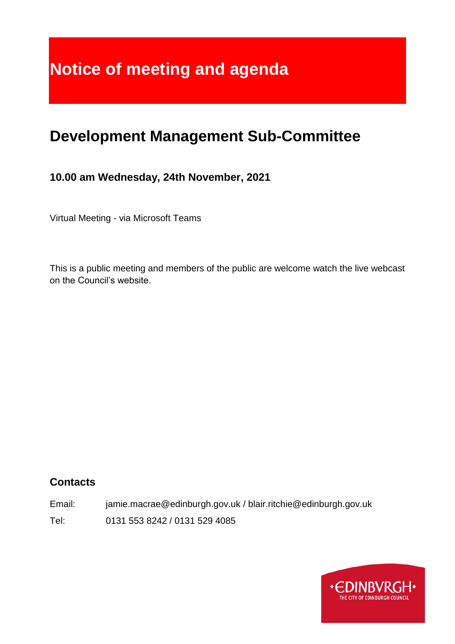# **Notice of meeting and agenda**

# **Development Management Sub-Committee**

#### **10.00 am Wednesday, 24th November, 2021**

Virtual Meeting - via Microsoft Teams

This is a public meeting and members of the public are welcome watch the live webcast on the Council's website.

#### **Contacts**

Email: jamie.macrae@edinburgh.gov.uk / blair.ritchie@edinburgh.gov.uk Tel: 0131 553 8242 / 0131 529 4085

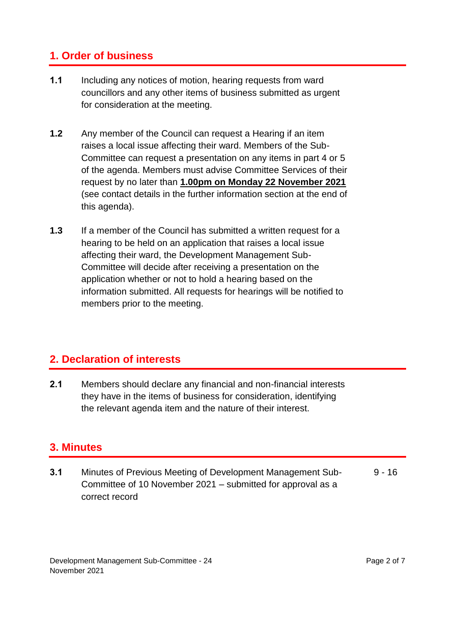### **1. Order of business**

- **1.1** Including any notices of motion, hearing requests from ward councillors and any other items of business submitted as urgent for consideration at the meeting.
- **1.2** Any member of the Council can request a Hearing if an item raises a local issue affecting their ward. Members of the Sub-Committee can request a presentation on any items in part 4 or 5 of the agenda. Members must advise Committee Services of their request by no later than **1.00pm on Monday 22 November 2021** (see contact details in the further information section at the end of this agenda).
- **1.3** If a member of the Council has submitted a written request for a hearing to be held on an application that raises a local issue affecting their ward, the Development Management Sub-Committee will decide after receiving a presentation on the application whether or not to hold a hearing based on the information submitted. All requests for hearings will be notified to members prior to the meeting.

#### **2. Declaration of interests**

**2.1** Members should declare any financial and non-financial interests they have in the items of business for consideration, identifying the relevant agenda item and the nature of their interest.

#### **3. Minutes**

**3.1** Minutes of Previous Meeting of Development Management Sub-Committee of 10 November 2021 – submitted for approval as a correct record  $9 - 16$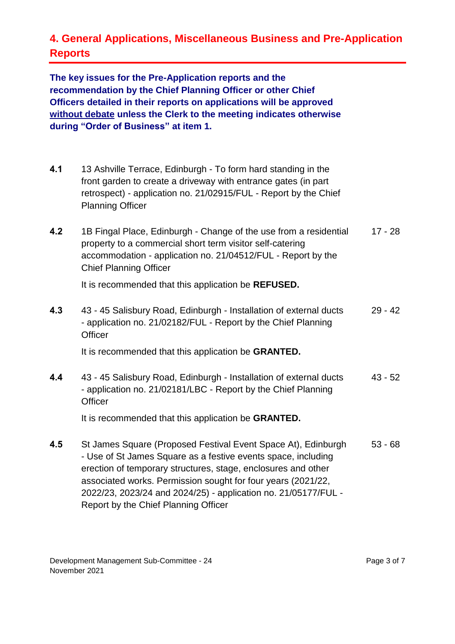## **4. General Applications, Miscellaneous Business and Pre-Application Reports**

**The key issues for the Pre-Application reports and the recommendation by the Chief Planning Officer or other Chief Officers detailed in their reports on applications will be approved without debate unless the Clerk to the meeting indicates otherwise during "Order of Business" at item 1.** 

- **4.1** 13 Ashville Terrace, Edinburgh To form hard standing in the front garden to create a driveway with entrance gates (in part retrospect) - application no. 21/02915/FUL - Report by the Chief Planning Officer
- **4.2** 1B Fingal Place, Edinburgh Change of the use from a residential property to a commercial short term visitor self-catering accommodation - application no. 21/04512/FUL - Report by the Chief Planning Officer 17 - 28

It is recommended that this application be **REFUSED.**

**4.3** 43 - 45 Salisbury Road, Edinburgh - Installation of external ducts - application no. 21/02182/FUL - Report by the Chief Planning **Officer** 29 - 42

It is recommended that this application be **GRANTED.**

**4.4** 43 - 45 Salisbury Road, Edinburgh - Installation of external ducts - application no. 21/02181/LBC - Report by the Chief Planning **Officer** 43 - 52

It is recommended that this application be **GRANTED.**

**4.5** St James Square (Proposed Festival Event Space At), Edinburgh - Use of St James Square as a festive events space, including erection of temporary structures, stage, enclosures and other associated works. Permission sought for four years (2021/22, 2022/23, 2023/24 and 2024/25) - application no. 21/05177/FUL - Report by the Chief Planning Officer 53 - 68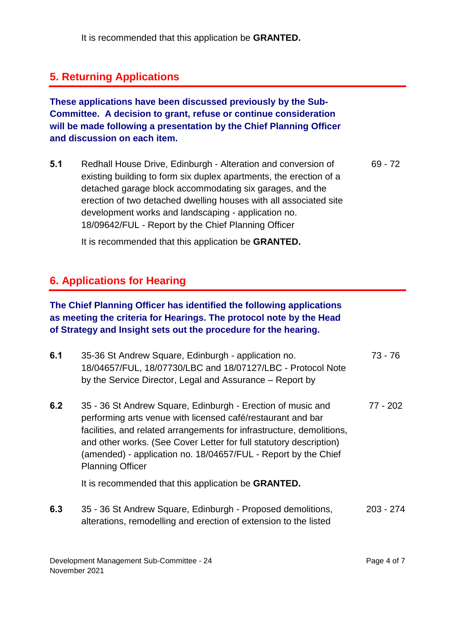It is recommended that this application be **GRANTED.**

#### **5. Returning Applications**

**These applications have been discussed previously by the Sub-Committee. A decision to grant, refuse or continue consideration will be made following a presentation by the Chief Planning Officer and discussion on each item.**

**5.1** Redhall House Drive, Edinburgh - Alteration and conversion of existing building to form six duplex apartments, the erection of a detached garage block accommodating six garages, and the erection of two detached dwelling houses with all associated site development works and landscaping - application no. 18/09642/FUL - Report by the Chief Planning Officer 69 - 72

It is recommended that this application be **GRANTED.**

#### **6. Applications for Hearing**

#### **The Chief Planning Officer has identified the following applications as meeting the criteria for Hearings. The protocol note by the Head of Strategy and Insight sets out the procedure for the hearing.**

| 6.1 | 35-36 St Andrew Square, Edinburgh - application no.<br>18/04657/FUL, 18/07730/LBC and 18/07127/LBC - Protocol Note<br>by the Service Director, Legal and Assurance – Report by                                                                                                                                                                                         | 73 - 76     |
|-----|------------------------------------------------------------------------------------------------------------------------------------------------------------------------------------------------------------------------------------------------------------------------------------------------------------------------------------------------------------------------|-------------|
| 6.2 | 35 - 36 St Andrew Square, Edinburgh - Erection of music and<br>performing arts venue with licensed café/restaurant and bar<br>facilities, and related arrangements for infrastructure, demolitions,<br>and other works. (See Cover Letter for full statutory description)<br>(amended) - application no. 18/04657/FUL - Report by the Chief<br><b>Planning Officer</b> | 77 - 202    |
|     | It is recommended that this application be <b>GRANTED</b> .                                                                                                                                                                                                                                                                                                            |             |
| 6.3 | 35 - 36 St Andrew Square, Edinburgh - Proposed demolitions,<br>alterations, remodelling and erection of extension to the listed                                                                                                                                                                                                                                        | $203 - 274$ |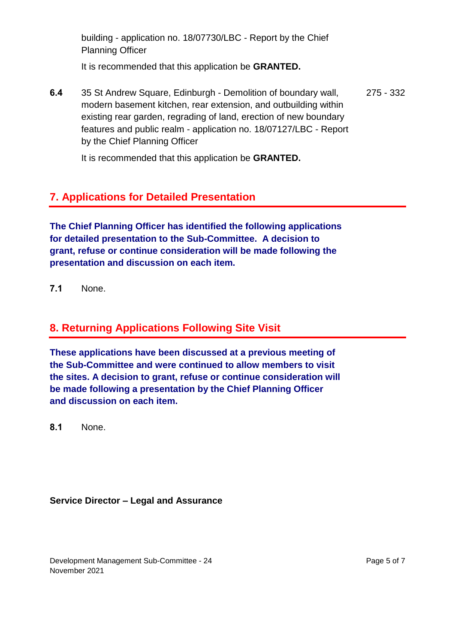building - application no. 18/07730/LBC - Report by the Chief Planning Officer

It is recommended that this application be **GRANTED.**

**6.4** 35 St Andrew Square, Edinburgh - Demolition of boundary wall, modern basement kitchen, rear extension, and outbuilding within existing rear garden, regrading of land, erection of new boundary features and public realm - application no. 18/07127/LBC - Report by the Chief Planning Officer 275 - 332

It is recommended that this application be **GRANTED.**

#### **7. Applications for Detailed Presentation**

**The Chief Planning Officer has identified the following applications for detailed presentation to the Sub-Committee. A decision to grant, refuse or continue consideration will be made following the presentation and discussion on each item.**

**7.1** None.

#### **8. Returning Applications Following Site Visit**

**These applications have been discussed at a previous meeting of the Sub-Committee and were continued to allow members to visit the sites. A decision to grant, refuse or continue consideration will be made following a presentation by the Chief Planning Officer and discussion on each item.**

**8.1** None.

#### **Service Director – Legal and Assurance**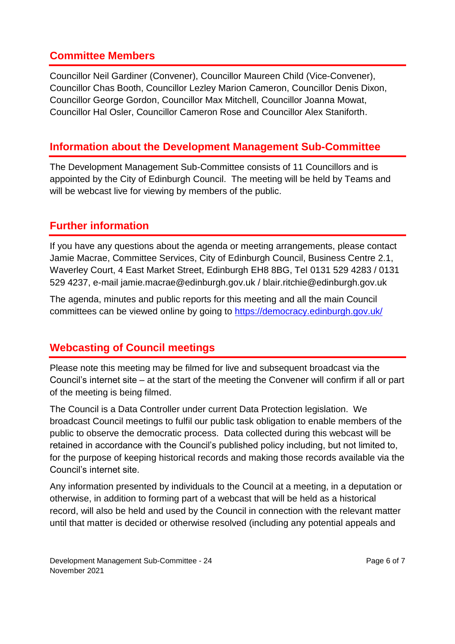#### **Committee Members**

Councillor Neil Gardiner (Convener), Councillor Maureen Child (Vice-Convener), Councillor Chas Booth, Councillor Lezley Marion Cameron, Councillor Denis Dixon, Councillor George Gordon, Councillor Max Mitchell, Councillor Joanna Mowat, Councillor Hal Osler, Councillor Cameron Rose and Councillor Alex Staniforth.

#### **Information about the Development Management Sub-Committee**

The Development Management Sub-Committee consists of 11 Councillors and is appointed by the City of Edinburgh Council. The meeting will be held by Teams and will be webcast live for viewing by members of the public.

#### **Further information**

If you have any questions about the agenda or meeting arrangements, please contact Jamie Macrae, Committee Services, City of Edinburgh Council, Business Centre 2.1, Waverley Court, 4 East Market Street, Edinburgh EH8 8BG, Tel 0131 529 4283 / 0131 529 4237, e-mail jamie.macrae@edinburgh.gov.uk / blair.ritchie@edinburgh.gov.uk

The agenda, minutes and public reports for this meeting and all the main Council committees can be viewed online by going to<https://democracy.edinburgh.gov.uk/>

#### **Webcasting of Council meetings**

Please note this meeting may be filmed for live and subsequent broadcast via the Council's internet site – at the start of the meeting the Convener will confirm if all or part of the meeting is being filmed.

The Council is a Data Controller under current Data Protection legislation. We broadcast Council meetings to fulfil our public task obligation to enable members of the public to observe the democratic process. Data collected during this webcast will be retained in accordance with the Council's published policy including, but not limited to, for the purpose of keeping historical records and making those records available via the Council's internet site.

Any information presented by individuals to the Council at a meeting, in a deputation or otherwise, in addition to forming part of a webcast that will be held as a historical record, will also be held and used by the Council in connection with the relevant matter until that matter is decided or otherwise resolved (including any potential appeals and